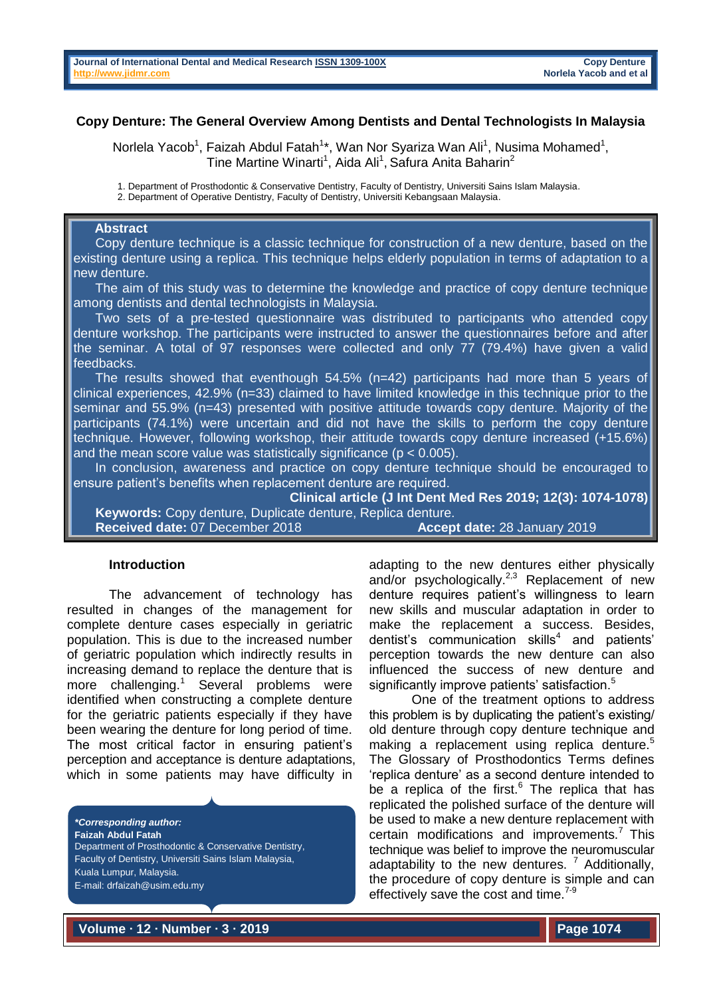### **Copy Denture: The General Overview Among Dentists and Dental Technologists In Malaysia**

Norlela Yacob<sup>1</sup>, Faizah Abdul Fatah<sup>1\*</sup>, Wan Nor Syariza Wan Ali<sup>1</sup>, Nusima Mohamed<sup>1</sup>, Tine Martine Winarti<sup>1</sup>, Aida Ali<sup>1</sup>, Safura Anita Baharin<sup>2</sup>

1. Department of Prosthodontic & Conservative Dentistry, Faculty of Dentistry, Universiti Sains Islam Malaysia.

2. Department of Operative Dentistry, Faculty of Dentistry, Universiti Kebangsaan Malaysia.

# **Abstract**

 Copy denture technique is a classic technique for construction of a new denture, based on the existing denture using a replica. This technique helps elderly population in terms of adaptation to a new denture.

 The aim of this study was to determine the knowledge and practice of copy denture technique among dentists and dental technologists in Malaysia.

 Two sets of a pre-tested questionnaire was distributed to participants who attended copy denture workshop. The participants were instructed to answer the questionnaires before and after the seminar. A total of 97 responses were collected and only 77 (79.4%) have given a valid feedbacks.

 The results showed that eventhough 54.5% (n=42) participants had more than 5 years of clinical experiences, 42.9% (n=33) claimed to have limited knowledge in this technique prior to the seminar and 55.9% (n=43) presented with positive attitude towards copy denture. Majority of the participants (74.1%) were uncertain and did not have the skills to perform the copy denture technique. However, following workshop, their attitude towards copy denture increased (+15.6%) and the mean score value was statistically significance ( $p < 0.005$ ).

In conclusion, awareness and practice on copy denture technique should be encouraged to ensure patient's benefits when replacement denture are required.

**Clinical article (J Int Dent Med Res 2019; 12(3): 1074-1078) Keywords:** Copy denture, Duplicate denture, Replica denture.

**Received date:** 07 December 2018 **Accept date:** 28 January 2019

# **Introduction**

The advancement of technology has resulted in changes of the management for complete denture cases especially in geriatric population. This is due to the increased number of geriatric population which indirectly results in increasing demand to replace the denture that is more challenging.<sup>1</sup> Several problems were identified when constructing a complete denture for the geriatric patients especially if they have been wearing the denture for long period of time. The most critical factor in ensuring patient's perception and acceptance is denture adaptations, which in some patients may have difficulty in

*\*Corresponding author:* **Faizah Abdul Fatah** Department of Prosthodontic & Conservative Dentistry, Faculty of Dentistry, Universiti Sains Islam Malaysia, Kuala Lumpur, Malaysia. E-mail: drfaizah@usim.edu.my

adapting to the new dentures either physically and/or psychologically. $2,3$  Replacement of new denture requires patient's willingness to learn new skills and muscular adaptation in order to make the replacement a success. Besides, dentist's communication skills<sup>4</sup> and patients' perception towards the new denture can also influenced the success of new denture and significantly improve patients' satisfaction.<sup>5</sup>

One of the treatment options to address this problem is by duplicating the patient's existing/ old denture through copy denture technique and making a replacement using replica denture.<sup>5</sup> The Glossary of Prosthodontics Terms defines 'replica denture' as a second denture intended to be a replica of the first. $6$  The replica that has replicated the polished surface of the denture will be used to make a new denture replacement with certain modifications and improvements.<sup>7</sup> This technique was belief to improve the neuromuscular adaptability to the new dentures.  $<sup>7</sup>$  Additionally,</sup> the procedure of copy denture is simple and can effectively save the cost and time. $7-9$ 

**Volume ∙ 12 ∙ Number ∙ 3 ∙ 2019**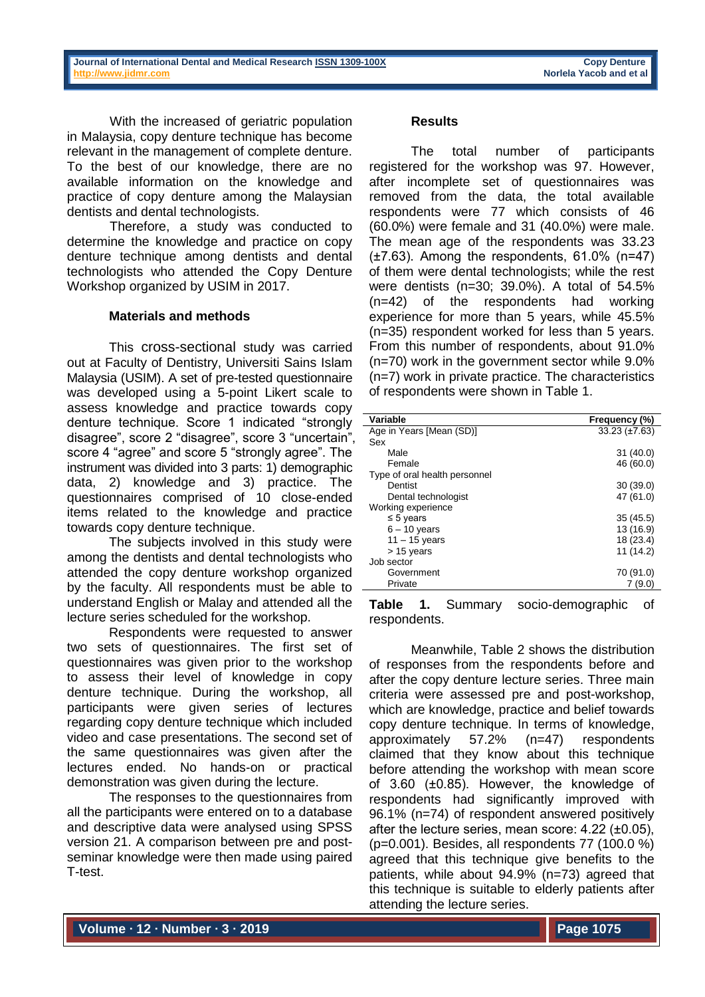With the increased of geriatric population in Malaysia, copy denture technique has become relevant in the management of complete denture. To the best of our knowledge, there are no available information on the knowledge and practice of copy denture among the Malaysian dentists and dental technologists.

Therefore, a study was conducted to determine the knowledge and practice on copy denture technique among dentists and dental technologists who attended the Copy Denture Workshop organized by USIM in 2017.

# **Materials and methods**

This cross-sectional study was carried out at Faculty of Dentistry, Universiti Sains Islam Malaysia (USIM). A set of pre-tested questionnaire was developed using a 5-point Likert scale to assess knowledge and practice towards copy denture technique. Score 1 indicated "strongly disagree", score 2 "disagree", score 3 "uncertain", score 4 "agree" and score 5 "strongly agree". The instrument was divided into 3 parts: 1) demographic data, 2) knowledge and 3) practice. The questionnaires comprised of 10 close-ended items related to the knowledge and practice towards copy denture technique.

The subjects involved in this study were among the dentists and dental technologists who attended the copy denture workshop organized by the faculty. All respondents must be able to understand English or Malay and attended all the lecture series scheduled for the workshop.

Respondents were requested to answer two sets of questionnaires. The first set of questionnaires was given prior to the workshop to assess their level of knowledge in copy denture technique. During the workshop, all participants were given series of lectures regarding copy denture technique which included video and case presentations. The second set of the same questionnaires was given after the lectures ended. No hands-on or practical demonstration was given during the lecture.

The responses to the questionnaires from all the participants were entered on to a database and descriptive data were analysed using SPSS version 21. A comparison between pre and postseminar knowledge were then made using paired T-test.

### **Results**

The total number of participants registered for the workshop was 97. However, after incomplete set of questionnaires was removed from the data, the total available respondents were 77 which consists of 46 (60.0%) were female and 31 (40.0%) were male. The mean age of the respondents was 33.23  $(\pm 7.63)$ . Among the respondents, 61.0% (n=47) of them were dental technologists; while the rest were dentists (n=30; 39.0%). A total of 54.5% (n=42) of the respondents had working experience for more than 5 years, while 45.5% (n=35) respondent worked for less than 5 years. From this number of respondents, about 91.0% (n=70) work in the government sector while 9.0% (n=7) work in private practice. The characteristics of respondents were shown in Table 1.

| Variable                      | Frequency (%)      |
|-------------------------------|--------------------|
| Age in Years [Mean (SD)]      | $33.23 (\pm 7.63)$ |
| Sex                           |                    |
| Male                          | 31(40.0)           |
| Female                        | 46 (60.0)          |
| Type of oral health personnel |                    |
| Dentist                       | 30(39.0)           |
| Dental technologist           | 47 (61.0)          |
| Working experience            |                    |
| $\leq 5$ years                | 35(45.5)           |
| $6 - 10$ years                | 13 (16.9)          |
| $11 - 15$ years               | 18 (23.4)          |
| > 15 years                    | 11(14.2)           |
| Job sector                    |                    |
| Government                    | 70 (91.0)          |
| Private                       | 7 (9.0             |

**Table 1.** Summary socio-demographic of respondents.

Meanwhile, Table 2 shows the distribution of responses from the respondents before and after the copy denture lecture series. Three main criteria were assessed pre and post-workshop, which are knowledge, practice and belief towards copy denture technique. In terms of knowledge, approximately 57.2% (n=47) respondents claimed that they know about this technique before attending the workshop with mean score of 3.60 (±0.85). However, the knowledge of respondents had significantly improved with 96.1% (n=74) of respondent answered positively after the lecture series, mean score: 4.22 (±0.05), (p=0.001). Besides, all respondents 77 (100.0 %) agreed that this technique give benefits to the patients, while about 94.9% (n=73) agreed that this technique is suitable to elderly patients after attending the lecture series.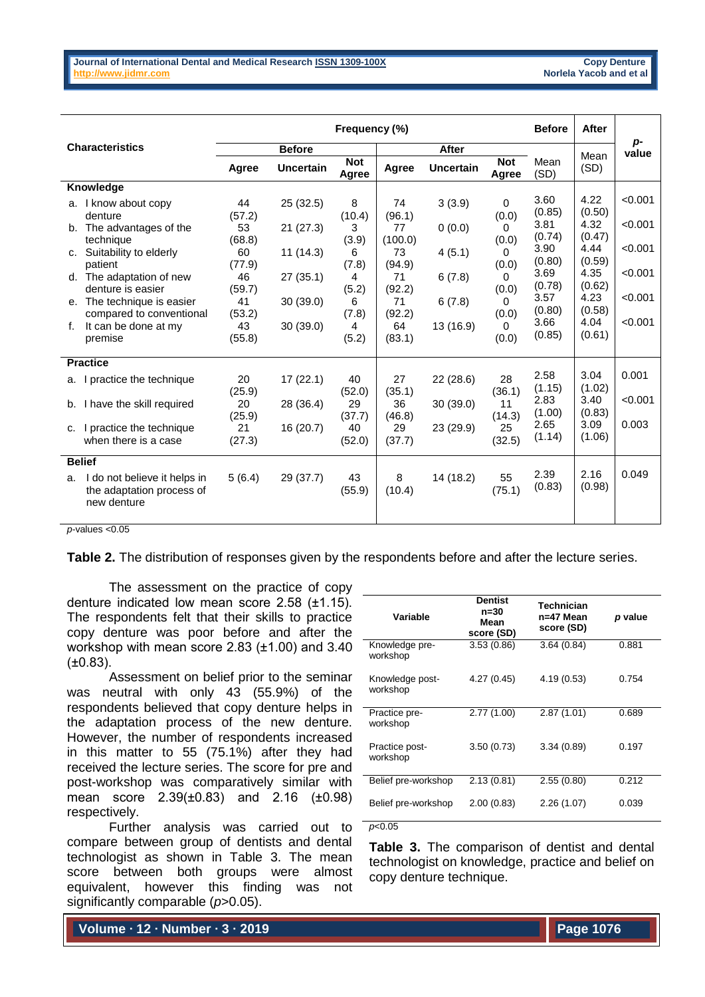|                                                                                                                                                                                                                                                                      | Frequency (%)                                                                                |                                                                          |                                                                                   |                                                                                               | <b>Before</b>                                               | After                                                                                                                      |                                                                                                          |                                                                                                          |                                                                |
|----------------------------------------------------------------------------------------------------------------------------------------------------------------------------------------------------------------------------------------------------------------------|----------------------------------------------------------------------------------------------|--------------------------------------------------------------------------|-----------------------------------------------------------------------------------|-----------------------------------------------------------------------------------------------|-------------------------------------------------------------|----------------------------------------------------------------------------------------------------------------------------|----------------------------------------------------------------------------------------------------------|----------------------------------------------------------------------------------------------------------|----------------------------------------------------------------|
| <b>Characteristics</b>                                                                                                                                                                                                                                               |                                                                                              | <b>Before</b>                                                            |                                                                                   |                                                                                               | <b>After</b>                                                |                                                                                                                            |                                                                                                          |                                                                                                          | p-<br>value                                                    |
|                                                                                                                                                                                                                                                                      | Agree                                                                                        | <b>Uncertain</b>                                                         | <b>Not</b><br>Agree                                                               | Agree                                                                                         | <b>Uncertain</b>                                            | <b>Not</b><br>Agree                                                                                                        | Mean<br>(SD)                                                                                             | Mean<br>(SD)                                                                                             |                                                                |
| Knowledge                                                                                                                                                                                                                                                            |                                                                                              |                                                                          |                                                                                   |                                                                                               |                                                             |                                                                                                                            |                                                                                                          |                                                                                                          |                                                                |
| a. I know about copy<br>denture<br>b. The advantages of the<br>technique<br>c. Suitability to elderly<br>patient<br>d. The adaptation of new<br>denture is easier<br>e. The technique is easier<br>compared to conventional<br>It can be done at my<br>f.<br>premise | 44<br>(57.2)<br>53<br>(68.8)<br>60<br>(77.9)<br>46<br>(59.7)<br>41<br>(53.2)<br>43<br>(55.8) | 25 (32.5)<br>21(27.3)<br>11 (14.3)<br>27(35.1)<br>30 (39.0)<br>30 (39.0) | 8<br>(10.4)<br>3<br>(3.9)<br>6<br>(7.8)<br>4<br>(5.2)<br>6<br>(7.8)<br>4<br>(5.2) | 74<br>(96.1)<br>77<br>(100.0)<br>73<br>(94.9)<br>71<br>(92.2)<br>71<br>(92.2)<br>64<br>(83.1) | 3(3.9)<br>0(0.0)<br>4(5.1)<br>6(7.8)<br>6(7.8)<br>13 (16.9) | $\Omega$<br>(0.0)<br>$\Omega$<br>(0.0)<br>$\Omega$<br>(0.0)<br>$\Omega$<br>(0.0)<br>$\Omega$<br>(0.0)<br>$\Omega$<br>(0.0) | 3.60<br>(0.85)<br>3.81<br>(0.74)<br>3.90<br>(0.80)<br>3.69<br>(0.78)<br>3.57<br>(0.80)<br>3.66<br>(0.85) | 4.22<br>(0.50)<br>4.32<br>(0.47)<br>4.44<br>(0.59)<br>4.35<br>(0.62)<br>4.23<br>(0.58)<br>4.04<br>(0.61) | < 0.001<br>< 0.001<br>< 0.001<br>< 0.001<br>< 0.001<br>< 0.001 |
| <b>Practice</b>                                                                                                                                                                                                                                                      |                                                                                              |                                                                          |                                                                                   |                                                                                               |                                                             |                                                                                                                            |                                                                                                          |                                                                                                          |                                                                |
| a. I practice the technique<br>b. I have the skill required<br>c. I practice the technique<br>when there is a case                                                                                                                                                   | 20<br>(25.9)<br>20<br>(25.9)<br>21<br>(27.3)                                                 | 17(22.1)<br>28 (36.4)<br>16 (20.7)                                       | 40<br>(52.0)<br>29<br>(37.7)<br>40<br>(52.0)                                      | 27<br>(35.1)<br>36<br>(46.8)<br>29<br>(37.7)                                                  | 22(28.6)<br>30(39.0)<br>23 (29.9)                           | 28<br>(36.1)<br>11<br>(14.3)<br>25<br>(32.5)                                                                               | 2.58<br>(1.15)<br>2.83<br>(1.00)<br>2.65<br>(1.14)                                                       | 3.04<br>(1.02)<br>3.40<br>(0.83)<br>3.09<br>(1.06)                                                       | 0.001<br>< 0.001<br>0.003                                      |
| <b>Belief</b>                                                                                                                                                                                                                                                        |                                                                                              |                                                                          |                                                                                   |                                                                                               |                                                             |                                                                                                                            |                                                                                                          |                                                                                                          |                                                                |
| I do not believe it helps in<br>a.<br>the adaptation process of<br>new denture                                                                                                                                                                                       | 5(6.4)                                                                                       | 29(37.7)                                                                 | 43<br>(55.9)                                                                      | 8<br>(10.4)                                                                                   | 14 (18.2)                                                   | 55<br>(75.1)                                                                                                               | 2.39<br>(0.83)                                                                                           | 2.16<br>(0.98)                                                                                           | 0.049                                                          |

*p*-values <0.05

**Table 2.** The distribution of responses given by the respondents before and after the lecture series.

The assessment on the practice of copy denture indicated low mean score 2.58 (±1.15). The respondents felt that their skills to practice copy denture was poor before and after the workshop with mean score 2.83 (±1.00) and 3.40 (±0.83).

Assessment on belief prior to the seminar was neutral with only 43 (55.9%) of the respondents believed that copy denture helps in the adaptation process of the new denture. However, the number of respondents increased in this matter to 55 (75.1%) after they had received the lecture series. The score for pre and post-workshop was comparatively similar with mean score 2.39(±0.83) and 2.16 (±0.98) respectively.

Further analysis was carried out to compare between group of dentists and dental technologist as shown in Table 3. The mean score between both groups were almost equivalent, however this finding was not significantly comparable ( $p > 0.05$ ).

| Variable                    | <b>Dentist</b><br>$n=30$<br>Mean<br>score (SD) | <b>Technician</b><br>n=47 Mean<br>score (SD) | p value |
|-----------------------------|------------------------------------------------|----------------------------------------------|---------|
| Knowledge pre-<br>workshop  | 3.53(0.86)                                     | 3.64(0.84)                                   | 0.881   |
| Knowledge post-<br>workshop | 4.27 (0.45)                                    | 4.19 (0.53)                                  | 0.754   |
| Practice pre-<br>workshop   | 2.77(1.00)                                     | 2.87(1.01)                                   | 0.689   |
| Practice post-<br>workshop  | 3.50(0.73)                                     | 3.34(0.89)                                   | 0.197   |
| Belief pre-workshop         | 2.13(0.81)                                     | 2.55(0.80)                                   | 0.212   |
| Belief pre-workshop         | 2.00(0.83)                                     | 2.26(1.07)                                   | 0.039   |
| p<0.05                      |                                                |                                              |         |

**Table 3.** The comparison of dentist and dental technologist on knowledge, practice and belief on copy denture technique.

**Volume ∙ 12 ∙ Number ∙ 3 ∙ 2019**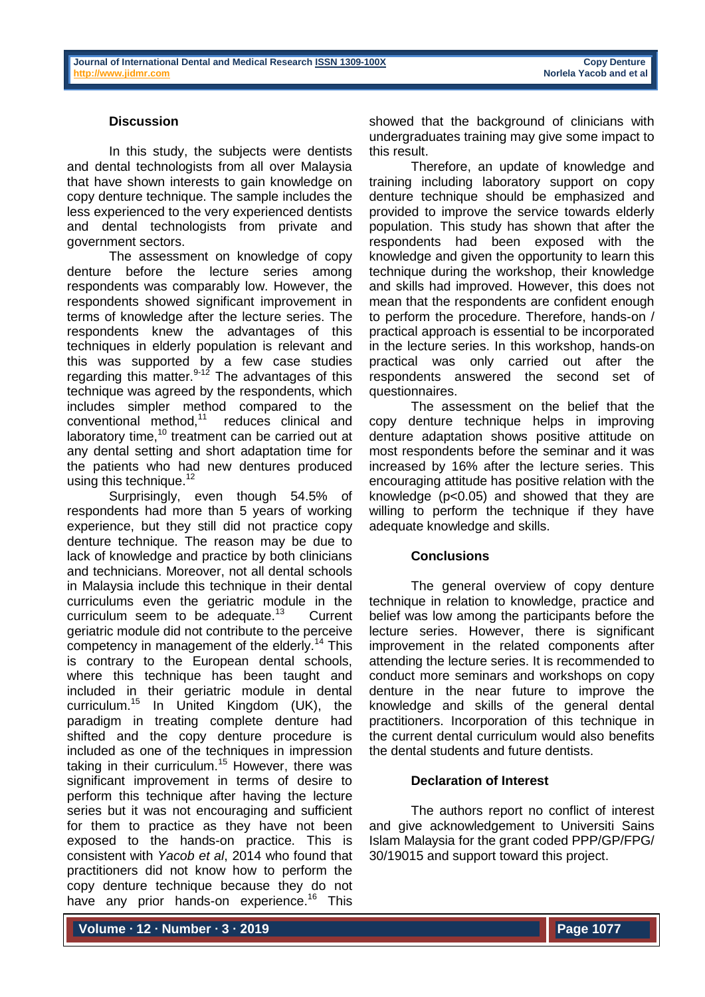# **Discussion**

In this study, the subjects were dentists and dental technologists from all over Malaysia that have shown interests to gain knowledge on copy denture technique. The sample includes the less experienced to the very experienced dentists and dental technologists from private and government sectors.

The assessment on knowledge of copy denture before the lecture series among respondents was comparably low. However, the respondents showed significant improvement in terms of knowledge after the lecture series. The respondents knew the advantages of this techniques in elderly population is relevant and this was supported by a few case studies regarding this matter.<sup>9-12</sup> The advantages of this technique was agreed by the respondents, which includes simpler method compared to the conventional method, $11$  reduces clinical and laboratory time, $10$  treatment can be carried out at any dental setting and short adaptation time for the patients who had new dentures produced using this technique.<sup>12</sup>

Surprisingly, even though 54.5% of respondents had more than 5 years of working experience, but they still did not practice copy denture technique. The reason may be due to lack of knowledge and practice by both clinicians and technicians. Moreover, not all dental schools in Malaysia include this technique in their dental curriculums even the geriatric module in the curriculum seem to be adequate.<sup>13</sup> **Current** geriatric module did not contribute to the perceive competency in management of the elderly.<sup>14</sup> This is contrary to the European dental schools, where this technique has been taught and included in their geriatric module in dental curriculum.<sup>15</sup> In United Kingdom (UK), the paradigm in treating complete denture had shifted and the copy denture procedure is included as one of the techniques in impression taking in their curriculum.<sup>15</sup> However, there was significant improvement in terms of desire to perform this technique after having the lecture series but it was not encouraging and sufficient for them to practice as they have not been exposed to the hands-on practice. This is consistent with *Yacob et al*, 2014 who found that practitioners did not know how to perform the copy denture technique because they do not have any prior hands-on experience.<sup>16</sup> This

showed that the background of clinicians with undergraduates training may give some impact to this result.

Therefore, an update of knowledge and training including laboratory support on copy denture technique should be emphasized and provided to improve the service towards elderly population. This study has shown that after the respondents had been exposed with the knowledge and given the opportunity to learn this technique during the workshop, their knowledge and skills had improved. However, this does not mean that the respondents are confident enough to perform the procedure. Therefore, hands-on / practical approach is essential to be incorporated in the lecture series. In this workshop, hands-on practical was only carried out after the respondents answered the second set of questionnaires.

The assessment on the belief that the copy denture technique helps in improving denture adaptation shows positive attitude on most respondents before the seminar and it was increased by 16% after the lecture series. This encouraging attitude has positive relation with the knowledge (p<0.05) and showed that they are willing to perform the technique if they have adequate knowledge and skills.

#### **Conclusions**

The general overview of copy denture technique in relation to knowledge, practice and belief was low among the participants before the lecture series. However, there is significant improvement in the related components after attending the lecture series. It is recommended to conduct more seminars and workshops on copy denture in the near future to improve the knowledge and skills of the general dental practitioners. Incorporation of this technique in the current dental curriculum would also benefits the dental students and future dentists.

#### **Declaration of Interest**

The authors report no conflict of interest and give acknowledgement to Universiti Sains Islam Malaysia for the grant coded PPP/GP/FPG/ 30/19015 and support toward this project.

**Volume ∙ 12 ∙ Number ∙ 3 ∙ 2019**